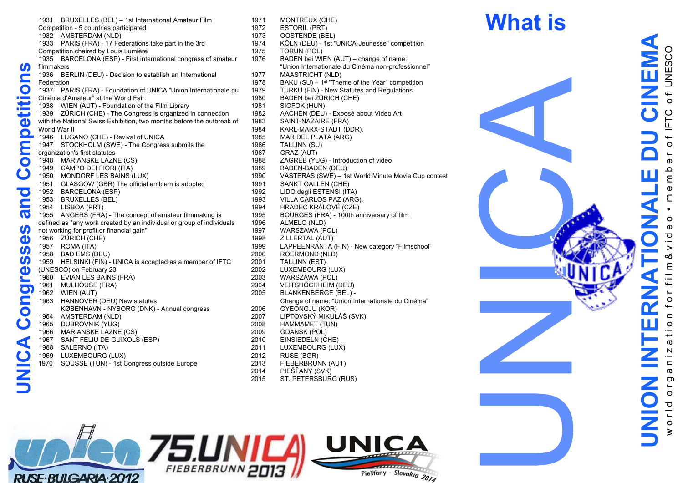|                        |                                                                    | 1931 BROXELLES (BEL) – ISI International Amateur Film                |  |  |  |  |
|------------------------|--------------------------------------------------------------------|----------------------------------------------------------------------|--|--|--|--|
|                        |                                                                    | Competition - 5 countries participated                               |  |  |  |  |
|                        | 1932                                                               | AMSTERDAM (NLD)                                                      |  |  |  |  |
|                        | 1933                                                               | PARIS (FRA) - 17 Federations take part in the 3rd                    |  |  |  |  |
|                        |                                                                    | Competition chaired by Louis Lumière                                 |  |  |  |  |
|                        |                                                                    |                                                                      |  |  |  |  |
|                        | 1935                                                               | BARCELONA (ESP) - First international congress of amater             |  |  |  |  |
|                        | filmmakers                                                         |                                                                      |  |  |  |  |
|                        | 1936                                                               | BERLIN (DEU) - Decision to establish an International                |  |  |  |  |
|                        | Federation                                                         |                                                                      |  |  |  |  |
|                        | 1937                                                               | PARIS (FRA) - Foundation of UNICA "Union Internationale              |  |  |  |  |
|                        |                                                                    | Cinéma d'Amateur" at the World Fair.                                 |  |  |  |  |
|                        |                                                                    |                                                                      |  |  |  |  |
|                        | 1938                                                               | WIEN (AUT) - Foundation of the Film Library                          |  |  |  |  |
|                        | 1939                                                               | ZÜRICH (CHE) - The Congress is organized in connection               |  |  |  |  |
|                        | with the National Swiss Exhibition, two months before the outbreak |                                                                      |  |  |  |  |
|                        | World War II                                                       |                                                                      |  |  |  |  |
|                        | 1946                                                               | LUGANO (CHE) - Revival of UNICA                                      |  |  |  |  |
|                        | 1947                                                               | STOCKHOLM (SWE) - The Congress submits the                           |  |  |  |  |
|                        |                                                                    | organization's first statutes                                        |  |  |  |  |
|                        |                                                                    |                                                                      |  |  |  |  |
|                        | 1948                                                               | <b>MARIANSKE LAZNE (CS)</b>                                          |  |  |  |  |
|                        | 1949                                                               | CAMPO DEI FIORI (ITA)                                                |  |  |  |  |
|                        | 1950                                                               | MONDORF LES BAINS (LUX)                                              |  |  |  |  |
|                        | 1951                                                               | GLASGOW (GBR) The official emblem is adopted                         |  |  |  |  |
| s and Competitions     | 1952                                                               | BARCELONA (ESP)                                                      |  |  |  |  |
|                        | 1953                                                               | <b>BRUXELLES (BEL)</b>                                               |  |  |  |  |
|                        | 1954                                                               | LISBOA (PRT)                                                         |  |  |  |  |
|                        |                                                                    |                                                                      |  |  |  |  |
|                        | 1955                                                               | ANGERS (FRA) - The concept of amateur filmmaking is                  |  |  |  |  |
|                        |                                                                    | defined as "any work created by an individual or group of individual |  |  |  |  |
|                        |                                                                    | not working for profit or financial gain"                            |  |  |  |  |
|                        | 1956                                                               | ZÜRICH (CHE)                                                         |  |  |  |  |
|                        | 1957                                                               | ROMA (ITA)                                                           |  |  |  |  |
|                        | 1958                                                               | <b>BAD EMS (DEU)</b>                                                 |  |  |  |  |
|                        | 1959                                                               | HELSINKI (FIN) - UNICA is accepted as a member of IFTC               |  |  |  |  |
|                        |                                                                    |                                                                      |  |  |  |  |
|                        |                                                                    | (UNESCO) on February 23                                              |  |  |  |  |
|                        | 1960                                                               | EVIAN LES BAINS (FRA)                                                |  |  |  |  |
|                        | 1961                                                               | MULHOUSE (FRA)                                                       |  |  |  |  |
|                        | 1962                                                               | WIEN (AUT)                                                           |  |  |  |  |
|                        | 1963                                                               | HANNOVER (DEU) New statutes                                          |  |  |  |  |
|                        |                                                                    | KØBENHAVN - NYBORG (DNK) - Annual congress                           |  |  |  |  |
|                        | 1964                                                               | AMSTERDAM (NLD)                                                      |  |  |  |  |
|                        | 1965                                                               | DUBROVNIK (YUG)                                                      |  |  |  |  |
|                        |                                                                    |                                                                      |  |  |  |  |
|                        | 1966                                                               | <b>MARIANSKE LAZNE (CS)</b>                                          |  |  |  |  |
|                        | 1967                                                               | SANT FELIU DE GUIXOLS (ESP)                                          |  |  |  |  |
|                        | 1968                                                               | SALERNO (ITA)                                                        |  |  |  |  |
|                        | 1969                                                               | LUXEMBOURG (LUX)                                                     |  |  |  |  |
|                        | 1970                                                               | SOUSSE (TUN) - 1st Congress outside Europe                           |  |  |  |  |
| <b>UNICA Congresse</b> |                                                                    |                                                                      |  |  |  |  |
|                        |                                                                    |                                                                      |  |  |  |  |
|                        |                                                                    |                                                                      |  |  |  |  |
|                        |                                                                    |                                                                      |  |  |  |  |

|                                                                       | 1931 BRUXELLES (BEL) - 1st International Amateur Film                 | 1971<br>1972 | MONTREUX (CHE)                                              | <b>What is</b> |
|-----------------------------------------------------------------------|-----------------------------------------------------------------------|--------------|-------------------------------------------------------------|----------------|
| Competition - 5 countries participated                                |                                                                       |              | <b>ESTORIL (PRT)</b>                                        |                |
|                                                                       | 1932 AMSTERDAM (NLD)                                                  | 1973         | <b>OOSTENDE (BEL)</b>                                       |                |
|                                                                       | 1933 PARIS (FRA) - 17 Federations take part in the 3rd                | 1974         | KÖLN (DEU) - 1st "UNICA-Jeunesse" competition               |                |
|                                                                       | Competition chaired by Louis Lumière                                  | 1975         | TORUN (POL)                                                 |                |
|                                                                       | 1935 BARCELONA (ESP) - First international congress of amateur        | 1976         | BADEN bei WIEN (AUT) - change of name:                      |                |
| filmmakers                                                            |                                                                       |              | "Union Internationale du Cinéma non-professionnel"          |                |
|                                                                       | 1936 BERLIN (DEU) - Decision to establish an International            | 1977         | MAASTRICHT (NLD)                                            |                |
| Federation                                                            |                                                                       | 1978         | BAKU (SU) - 1 <sup>st</sup> "Theme of the Year" competition |                |
|                                                                       | 1937 PARIS (FRA) - Foundation of UNICA "Union Internationale du       | 1979         | TURKU (FIN) - New Statutes and Regulations                  |                |
|                                                                       | Cinéma d'Amateur" at the World Fair.                                  | 1980         | BADEN bei ZÜRICH (CHE)                                      |                |
|                                                                       | 1938 WIEN (AUT) - Foundation of the Film Library                      | 1981         | SIOFOK (HUN)                                                | K.             |
|                                                                       | 1939 ZÜRICH (CHE) - The Congress is organized in connection           | 1982         | AACHEN (DEU) - Exposé about Video Art                       |                |
| with the National Swiss Exhibition, two months before the outbreak of |                                                                       |              | SAINT-NAZAIRE (FRA)                                         |                |
|                                                                       | World War II                                                          | 1984         | KARL-MARX-STADT (DDR).                                      |                |
|                                                                       | 1946 LUGANO (CHE) - Revival of UNICA                                  | 1985         | MAR DEL PLATA (ARG)                                         |                |
|                                                                       | 1947 STOCKHOLM (SWE) - The Congress submits the                       | 1986         | TALLINN (SU)                                                |                |
| organization's first statutes                                         |                                                                       |              | GRAZ (AUT)                                                  |                |
|                                                                       | 1948 MARIANSKE LAZNE (CS)                                             | 1988         | ZAGREB (YUG) - Introduction of video                        |                |
|                                                                       | 1949 CAMPO DEI FIORI (ITA)                                            | 1989         | BADEN-BADEN (DEU)                                           |                |
|                                                                       | 1950 MONDORF LES BAINS (LUX)                                          | 1990         | VÄSTERÅS (SWE) – 1st World Minute Movie Cup contest         |                |
|                                                                       | 1951 GLASGOW (GBR) The official emblem is adopted                     | 1991         | SANKT GALLEN (CHE)                                          |                |
|                                                                       | 1952 BARCELONA (ESP)                                                  | 1992         | LIDO degli ESTENSI (ITA)                                    |                |
|                                                                       | 1953 BRUXELLES (BEL)                                                  | 1993         | VILLA CARLOS PAZ (ARG).                                     |                |
|                                                                       | 1954 LISBOA (PRT)                                                     | 1994         | HRADEC KRALOVÉ (CZE)                                        |                |
|                                                                       | 1955 ANGERS (FRA) - The concept of amateur filmmaking is              | 1995         | BOURGES (FRA) - 100th anniversary of film                   |                |
|                                                                       | defined as "any work created by an individual or group of individuals | 1996         | ALMELO (NLD)                                                |                |
|                                                                       | not working for profit or financial gain"                             | 1997         | WARSZAWA (POL)                                              |                |
|                                                                       | 1956 ZÜRICH (CHE)                                                     | 1998         | ZILLERTAL (AUT)                                             |                |
|                                                                       | 1957 ROMA (ITA)                                                       | 1999         | LAPPEENRANTA (FIN) - New category "Filmschool"              |                |
|                                                                       | 1958 BAD EMS (DEU)                                                    | 2000         | ROERMOND (NLD)                                              |                |
|                                                                       | 1959 HELSINKI (FIN) - UNICA is accepted as a member of IFTC           | 2001         | <b>TALLINN (EST)</b>                                        |                |
|                                                                       | (UNESCO) on February 23                                               | 2002         | LUXEMBOURG (LUX)                                            |                |
|                                                                       | 1960 EVIAN LES BAINS (FRA)                                            | 2003         | WARSZAWA (POL)                                              |                |
|                                                                       | 1961 MULHOUSE (FRA)                                                   | 2004         | VEITSHÖCHHEIM (DEU)                                         |                |
|                                                                       | 1962 WIEN (AUT)                                                       | 2005         | BLANKENBERGE (BEL) -                                        |                |
|                                                                       | 1963 HANNOVER (DEU) New statutes                                      |              | Change of name: "Union Internationale du Cinéma"            |                |
|                                                                       | KØBENHAVN - NYBORG (DNK) - Annual congress                            | 2006         | GYEONGJU (KOR)                                              |                |
|                                                                       | 1964 AMSTERDAM (NLD)                                                  | 2007         | LIPTOVSKÝ MIKULÁŠ (SVK)                                     |                |
|                                                                       | 1965 DUBROVNIK (YUG)                                                  | 2008         | HAMMAMET (TUN)                                              |                |
|                                                                       | 1966 MARIANSKE LAZNE (CS)                                             | 2009         | <b>GDANSK (POL)</b>                                         |                |
|                                                                       | 1967 SANT FELIU DE GUIXOLS (ESP)                                      | 2010         | EINSIEDELN (CHE)                                            |                |
| 1968                                                                  | SALERNO (ITA)                                                         | 2011         | LUXEMBOURG (LUX)                                            |                |
| 1969                                                                  | LUXEMBOURG (LUX)                                                      | 2012         | RUSE (BGR)                                                  |                |
| 1970                                                                  | SOUSSE (TUN) - 1st Congress outside Europe                            | 2013         | FIEBERBRUNN (AUT)                                           |                |
|                                                                       |                                                                       | 2014         | PIEŠŤANY (SVK)                                              |                |
|                                                                       |                                                                       | 2015         | ST. PETERSBURG (RUS)                                        |                |





w o r l d o r g a n i z a t i o n f o r f i l m & v i d e o **•** m e m b e r o f IFTC o f UNESCO

ation for film & vid

n i z i  $\boldsymbol{\varpi}$ 

ŗ თ  $\circ$ 

world

of IFTC

 $\overline{c}$ 

 $m \in m b$ 

 $\bullet$  $\circ$